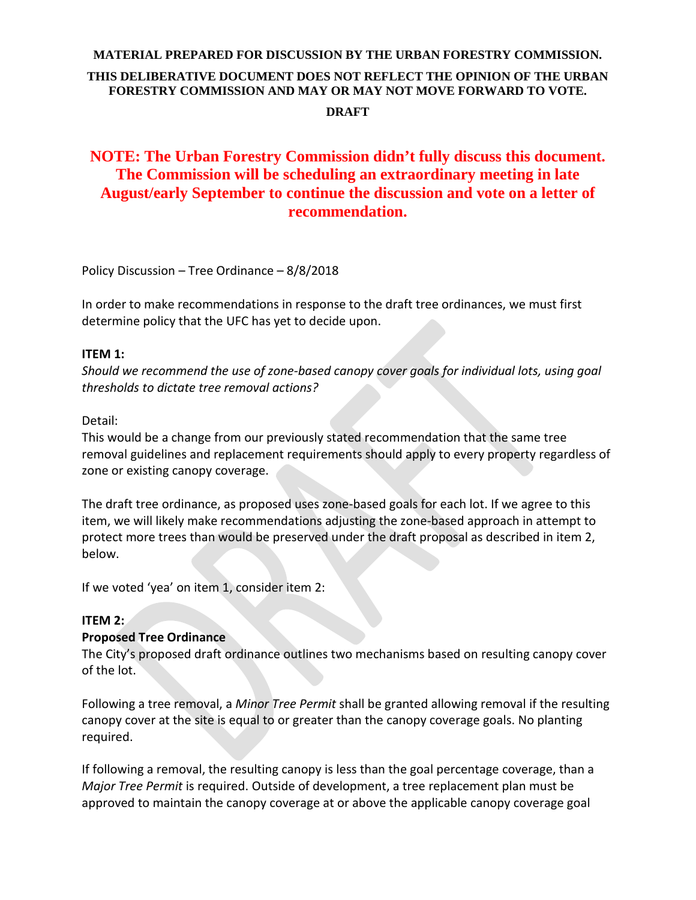## **MATERIAL PREPARED FOR DISCUSSION BY THE URBAN FORESTRY COMMISSION. THIS DELIBERATIVE DOCUMENT DOES NOT REFLECT THE OPINION OF THE URBAN FORESTRY COMMISSION AND MAY OR MAY NOT MOVE FORWARD TO VOTE. DRAFT**

# **NOTE: The Urban Forestry Commission didn't fully discuss this document. The Commission will be scheduling an extraordinary meeting in late August/early September to continue the discussion and vote on a letter of recommendation.**

Policy Discussion – Tree Ordinance – 8/8/2018

In order to make recommendations in response to the draft tree ordinances, we must first determine policy that the UFC has yet to decide upon.

#### **ITEM 1:**

*Should we recommend the use of zone-based canopy cover goals for individual lots, using goal thresholds to dictate tree removal actions?*

#### Detail:

This would be a change from our previously stated recommendation that the same tree removal guidelines and replacement requirements should apply to every property regardless of zone or existing canopy coverage.

The draft tree ordinance, as proposed uses zone-based goals for each lot. If we agree to this item, we will likely make recommendations adjusting the zone-based approach in attempt to protect more trees than would be preserved under the draft proposal as described in item 2, below.

If we voted 'yea' on item 1, consider item 2:

#### **ITEM 2:**

#### **Proposed Tree Ordinance**

The City's proposed draft ordinance outlines two mechanisms based on resulting canopy cover of the lot.

Following a tree removal, a *Minor Tree Permit* shall be granted allowing removal if the resulting canopy cover at the site is equal to or greater than the canopy coverage goals. No planting required.

If following a removal, the resulting canopy is less than the goal percentage coverage, than a *Major Tree Permit* is required. Outside of development, a tree replacement plan must be approved to maintain the canopy coverage at or above the applicable canopy coverage goal